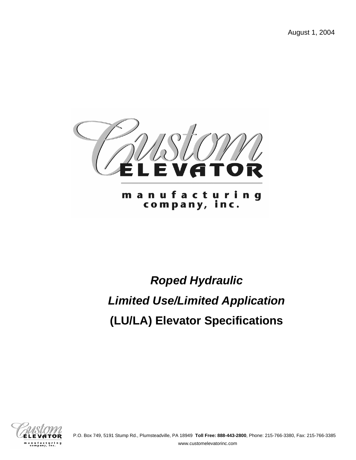August 1, 2004



# *Roped Hydraulic Limited Use/Limited Application*  **(LU/LA) Elevator Specifications**



P.O. Box 749, 5191 Stump Rd., Plumsteadville, PA 18949 **Toll Free: 888-443-2800**, Phone: 215-766-3380, Fax: 215-766-3385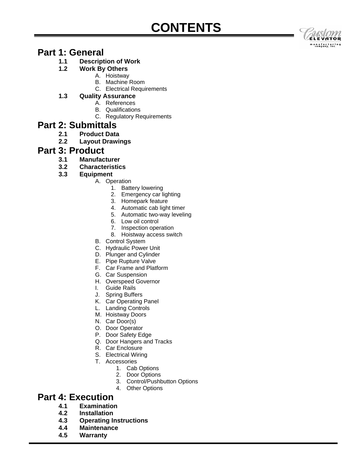## **CONTENTS**



## **Part 1: General**

- **1.1 Description of Work**
- **1.2 Work By Others** 
	- A. Hoistway
	- B. Machine Room
	- C. Electrical Requirements

### **1.3 Quality Assurance**

- A. References
	- B. Qualifications
	- C. Regulatory Requirements

## **Part 2: Submittals**

- **2.1 Product Data**
- **2.2 Layout Drawings**

## **Part 3: Product**

- 
- **3.1 Manufacturer 3.2 Characteristics**
- **3.3 Equipment** 
	- A. Operation
		- 1. Battery lowering
		- 2. Emergency car lighting
		- 3. Homepark feature
		- 4. Automatic cab light timer
		- 5. Automatic two-way leveling
		- 6. Low oil control
		- 7. Inspection operation
		- 8. Hoistway access switch
		- B. Control System
		- C. Hydraulic Power Unit
		- D. Plunger and Cylinder
		- E. Pipe Rupture Valve
		- F. Car Frame and Platform
		- G. Car Suspension
		- H. Overspeed Governor
		- I. Guide Rails
		- J. Spring Buffers
		- K. Car Operating Panel
		- L. Landing Controls
		- M. Hoistway Doors
		- N. Car Door(s)
		- O. Door Operator
		- P. Door Safety Edge
		- Q. Door Hangers and Tracks
		- R. Car Enclosure
		- S. Electrical Wiring
		- T. Accessories
			- 1. Cab Options
			- 2. Door Options
			- 3. Control/Pushbutton Options
			- 4. Other Options

## **Part 4: Execution**

- **4.1 Examination**
- **4.2 Installation**
- **4.3 Operating Instructions**
- **4.4 Maintenance**
- **4.5 Warranty**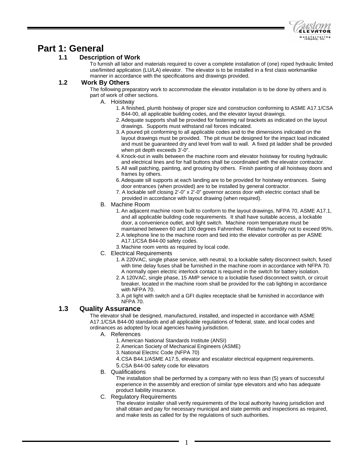

## **Part 1: General**

#### **1.1 Description of Work**

To furnish all labor and materials required to cover a complete installation of (one) roped hydraulic limited use/limited application (LU/LA) elevator. The elevator is to be installed in a first class workmanlike manner in accordance with the specifications and drawings provided.

#### **1.2 Work By Others**

The following preparatory work to accommodate the elevator installation is to be done by others and is part of work of other sections.

- A. Hoistway
	- 1. A finished, plumb hoistway of proper size and construction conforming to ASME A17.1/CSA B44-00, all applicable building codes, and the elevator layout drawings.
	- 2. Adequate supports shall be provided for fastening rail brackets as indicated on the layout drawings. Supports must withstand rail forces indicated.
	- 3. A poured pit conforming to all applicable codes and to the dimensions indicated on the layout drawings must be provided. The pit must be designed for the impact load indicated and must be guaranteed dry and level from wall to wall. A fixed pit ladder shall be provided when pit depth exceeds 3'-0".
	- 4. Knock-out in walls between the machine room and elevator hoistway for routing hydraulic and electrical lines and for hall buttons shall be coordinated with the elevator contractor.
	- 5. All wall patching, painting, and grouting by others. Finish painting of all hoistway doors and frames by others.
	- 6. Adequate sill supports at each landing are to be provided for hoistway entrances. Swing door entrances (when provided) are to be installed by general contractor.
	- 7. A lockable self closing 2'-0" x 2'-0" governor access door with electric contact shall be provided in accordance with layout drawing (when required).
- B. Machine Room
	- 1. An adjacent machine room built to conform to the layout drawings, NFPA 70, ASME A17.1, and all applicable building code requirements. It shall have suitable access, a lockable door, a convenience outlet, and light switch. Machine room temperature must be maintained between 60 and 100 degrees Fahrenheit. Relative humidity not to exceed 95%.
	- 2. A telephone line to the machine room and tied into the elevator controller as per ASME A17.1/CSA B44-00 safety codes.
	- 3. Machine room vents as required by local code.
- C. Electrical Requirements
	- 1. A 220VAC, single phase service, with neutral, to a lockable safety disconnect switch, fused with time delay fuses shall be furnished in the machine room in accordance with NFPA 70. A normally open electric interlock contact is required in the switch for battery isolation.
	- 2. A 120VAC, single phase, 15 AMP service to a lockable fused disconnect switch, or circuit breaker, located in the machine room shall be provided for the cab lighting in accordance with NFPA 70.
	- 3. A pit light with switch and a GFI duplex receptacle shall be furnished in accordance with NFPA 70.

#### **1.3 Quality Assurance**

The elevator shall be designed, manufactured, installed, and inspected in accordance with ASME A17.1/CSA B44-00 standards and all applicable regulations of federal, state, and local codes and ordinances as adopted by local agencies having jurisdiction.

- A. References
	- 1. American National Standards Institute (ANSI)
	- 2. American Society of Mechanical Engineers (ASME)
	- 3. National Electric Code (NFPA 70)
	- 4. CSA B44.1/ASME A17.5, elevator and escalator electrical equipment requirements.
	- 5. CSA B44-00 safety code for elevators
- B. Qualifications

The installation shall be performed by a company with no less than (5) years of successful experience in the assembly and erection of similar type elevators and who has adequate product liability insurance.

C. Regulatory Requirements

The elevator installer shall verify requirements of the local authority having jurisdiction and shall obtain and pay for necessary municipal and state permits and inspections as required, and make tests as called for by the regulations of such authorities.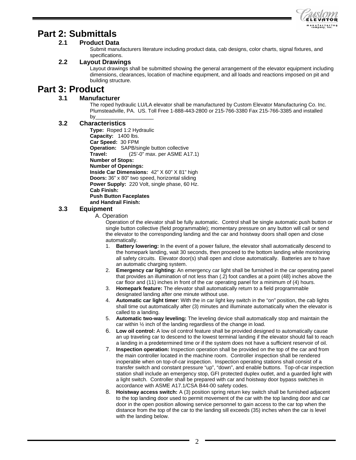

## **Part 2: Submittals**

#### **2.1 Product Data**

Submit manufacturers literature including product data, cab designs, color charts, signal fixtures, and specifications.

#### **2.2 Layout Drawings**

Layout drawings shall be submitted showing the general arrangement of the elevator equipment including dimensions, clearances, location of machine equipment, and all loads and reactions imposed on pit and building structure.

## **Part 3: Product**

#### **3.1 Manufacturer**

The roped hydraulic LU/LA elevator shall be manufactured by Custom Elevator Manufacturing Co. Inc. Plumsteadville, PA. US. Toll Free 1-888-443-2800 or 215-766-3380 Fax 215-766-3385 and installed by\_

#### **3.2 Characteristics**

**Type:** Roped 1:2 Hydraulic **Capacity:** 1400 lbs. **Car Speed:** 30 FPM **Operation:** SAPB/single button collective **Travel:** (25'-0" max. per ASME A17.1) **Number of Stops: Number of Openings: Inside Car Dimensions:** 42" X 60" X 81" high **Doors:** 36" x 80" two speed, horizontal sliding **Power Supply:** 220 Volt, single phase, 60 Hz. **Cab Finish: Push Button Faceplates and Handrail Finish:**

#### **3.3 Equipment**

A. Operation

Operation of the elevator shall be fully automatic. Control shall be single automatic push button or single button collective (field programmable); momentary pressure on any button will call or send the elevator to the corresponding landing and the car and hoistway doors shall open and close automatically.

- 1. **Battery lowering:** In the event of a power failure, the elevator shall automatically descend to the homepark landing, wait 30 seconds, then proceed to the bottom landing while monitoring all safety circuits. Elevator door(s) shall open and close automatically. Batteries are to have an automatic charging system.
- 2. **Emergency car lighting:** An emergency car light shall be furnished in the car operating panel that provides an illumination of not less than (.2) foot candles at a point (48) inches above the car floor and (11) inches in front of the car operating panel for a minimum of (4) hours.
- 3. **Homepark feature:** The elevator shall automatically return to a field programmable designated landing after one minute without use.
- 4. **Automatic car light timer**: With the in car light key switch in the "on" position, the cab lights shall time out automatically after (3) minutes and illuminate automatically when the elevator is called to a landing.
- 5. **Automatic two-way leveling:** The leveling device shall automatically stop and maintain the car within ½ inch of the landing regardless of the change in load.
- 6. **Low oil control:** A low oil control feature shall be provided designed to automatically cause an up traveling car to descend to the lowest terminal landing if the elevator should fail to reach a landing in a predetermined time or if the system does not have a sufficient reservoir of oil.
- 7. **Inspection operation:** Inspection operation shall be provided on the top of the car and from the main controller located in the machine room. Controller inspection shall be rendered inoperable when on top-of-car inspection. Inspection operating stations shall consist of a transfer switch and constant pressure "up", "down", and enable buttons. Top-of-car inspection station shall include an emergency stop, GFI protected duplex outlet, and a guarded light with a light switch. Controller shall be prepared with car and hoistway door bypass switches in accordance with ASME A17.1/CSA B44-00 safety codes.
- 8. **Hoistway access switch:** A (3) position spring return key switch shall be furnished adjacent to the top landing door used to permit movement of the car with the top landing door and car door in the open position allowing service personnel to gain access to the car top when the distance from the top of the car to the landing sill exceeds (35) inches when the car is level with the landing below.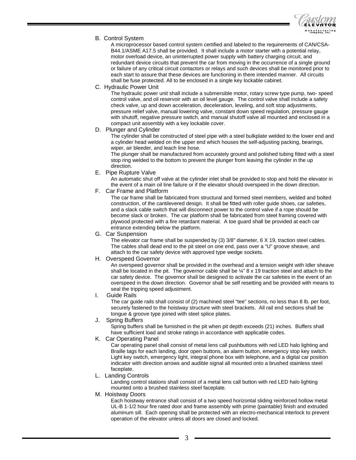

#### B. Control System

A microprocessor based control system certified and labeled to the requirements of CAN/CSA-B44.1/ASME A17.5 shall be provided. It shall include a motor starter with a potential relay, motor overload device, an uninterrupted power supply with battery charging circuit, and redundant device circuits that prevent the car from moving in the occurrence of a single ground or failure of any critical circuit contactors or relays and such devices shall be monitored prior to each start to assure that these devices are functioning in there intended manner. All circuits shall be fuse protected. All to be enclosed in a single key lockable cabinet.

#### C. Hydraulic Power Unit

The hydraulic power unit shall include a submersible motor, rotary screw type pump, two- speed control valve, and oil reservoir with an oil level gauge. The control valve shall include a safety check valve, up and down acceleration, deceleration, leveling, and soft stop adjustments, pressure relief valve, manual lowering valve, constant down speed regulation, pressure gauge with shutoff, negative pressure switch, and manual shutoff valve all mounted and enclosed in a compact unit assembly with a key lockable cover.

D. Plunger and Cylinder

The cylinder shall be constructed of steel pipe with a steel bulkplate welded to the lower end and a cylinder head welded on the upper end which houses the self-adjusting packing, bearings, wiper, air bleeder, and leach line hose.

The plunger shall be manufactured from accurately ground and polished tubing fitted with a steel stop ring welded to the bottom to prevent the plunger from leaving the cylinder in the up direction.

E. Pipe Rupture Valve

An automatic shut off valve at the cylinder inlet shall be provided to stop and hold the elevator in the event of a main oil line failure or if the elevator should overspeed in the down direction.

F. Car Frame and Platform

The car frame shall be fabricated from structural and formed steel members, welded and bolted construction, of the cantilevered design. It shall be fitted with roller guide shoes, car safeties, and a slack cable switch that will disconnect power to the control valve if a rope should be become slack or broken. The car platform shall be fabricated from steel framing covered with plywood protected with a fire retardant material. A toe guard shall be provided at each car entrance extending below the platform.

#### G. Car Suspension

The elevator car frame shall be suspended by (3) 3/8" diameter, 6 X 19, traction steel cables. The cables shall dead end to the pit steel on one end, pass over a "U" groove sheave, and attach to the car safety device with approved type wedge sockets.

#### H. Overspeed Governor

An overspeed governor shall be provided in the overhead and a tension weight with Idler sheave shall be located in the pit. The governor cable shall be  $\frac{1}{4}$ " 8 x 19 traction steel and attach to the car safety device. The governor shall be designed to activate the car safeties in the event of an overspeed in the down direction. Governor shall be self resetting and be provided with means to seal the tripping speed adjustment.

I. Guide Rails

The car guide rails shall consist of (2) machined steel "tee" sections, no less than 8 lb. per foot, securely fastened to the hoistway structure with steel brackets. All rail end sections shall be tongue & groove type joined with steel splice plates.

J. Spring Buffers

Spring buffers shall be furnished in the pit when pit depth exceeds (21) inches. Buffers shall have sufficient load and stroke ratings in accordance with applicable codes.

K. Car Operating Panel

Car operating panel shall consist of metal lens call pushbuttons with red LED halo lighting and Braille tags for each landing, door open buttons, an alarm button, emergency stop key switch. Light key switch, emergency light, integral phone box with telephone, and a digital car position indicator with direction arrows and audible signal all mounted onto a brushed stainless steel faceplate.

#### L. Landing Controls

Landing control stations shall consist of a metal lens call button with red LED halo lighting mounted onto a brushed stainless steel faceplate.

M. Hoistway Doors

Each hoistway entrance shall consist of a two speed horizontal sliding reinforced hollow metal UL-B 1-1/2 hour fire rated door and frame assembly with prime (paintable) finish and extruded aluminum sill. Each opening shall be protected with an electro-mechanical interlock to prevent operation of the elevator unless all doors are closed and locked.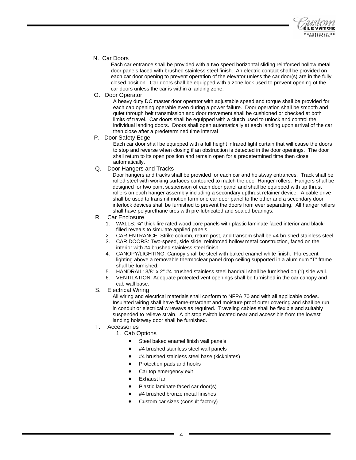

N. Car Doors

Each car entrance shall be provided with a two speed horizontal sliding reinforced hollow metal door panels faced with brushed stainless steel finish. An electric contact shall be provided on each car door opening to prevent operation of the elevator unless the car door(s) are in the fully closed position. Car doors shall be equipped with a zone lock used to prevent opening of the car doors unless the car is within a landing zone.

O. Door Operator

A heavy duty DC master door operator with adjustable speed and torque shall be provided for each cab opening operable even during a power failure. Door operation shall be smooth and quiet through belt transmission and door movement shall be cushioned or checked at both limits of travel. Car doors shall be equipped with a clutch used to unlock and control the individual landing doors. Doors shall open automatically at each landing upon arrival of the car then close after a predetermined time interval

P. Door Safety Edge

Each car door shall be equipped with a full height infrared light curtain that will cause the doors to stop and reverse when closing if an obstruction is detected in the door openings. The door shall return to its open position and remain open for a predetermined time then close automatically.

Q. Door Hangers and Tracks

Door hangers and tracks shall be provided for each car and hoistway entrances. Track shall be rolled steel with working surfaces contoured to match the door Hanger rollers. Hangers shall be designed for two point suspension of each door panel and shall be equipped with up thrust rollers on each hanger assembly including a secondary upthrust retainer device. A cable drive shall be used to transmit motion form one car door panel to the other and a secondary door interlock devices shall be furnished to prevent the doors from ever separating. All hanger rollers shall have polyurethane tires with pre-lubricated and sealed bearings.

- R. Car Enclosure
	- 1. WALLS: ¾" thick fire rated wood core panels with plastic laminate faced interior and blackfilled reveals to simulate applied panels.
	- 2. CAR ENTRANCE: Strike column, return post, and transom shall be #4 brushed stainless steel.
	- 3. CAR DOORS: Two-speed, side slide, reinforced hollow metal construction, faced on the interior with #4 brushed stainless steel finish.
	- 4. CANOPY/LIGHTING: Canopy shall be steel with baked enamel white finish. Florescent lighting above a removable thermoclear panel drop ceiling supported in a aluminum "T" frame shall be furnished.
	- 5. HANDRAIL: 3/8" x 2" #4 brushed stainless steel handrail shall be furnished on (1) side wall.
	- 6. VENTILATION: Adequate protected vent openings shall be furnished in the car canopy and cab wall base.
- S. Electrical Wiring

All wiring and electrical materials shall conform to NFPA 70 and with all applicable codes. Insulated wiring shall have flame-retardant and moisture proof outer covering and shall be run in conduit or electrical wireways as required. Traveling cables shall be flexible and suitably suspended to relieve strain. A pit stop switch located near and accessible from the lowest landing hoistway door shall be furnished.

- T. Accessories
	- 1. Cab Options
		- Steel baked enamel finish wall panels
		- #4 brushed stainless steel wall panels
		- #4 brushed stainless steel base (kickplates)
		- Protection pads and hooks
		- Car top emergency exit
		- Exhaust fan
		- Plastic laminate faced car door(s)
		- #4 brushed bronze metal finishes
		- Custom car sizes (consult factory)